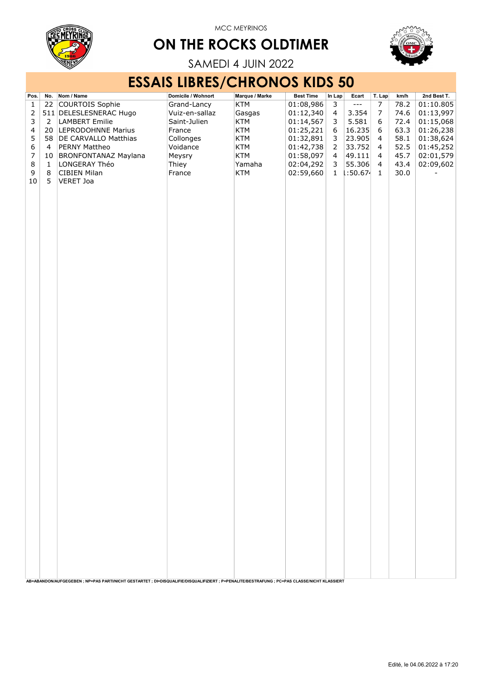

## ON THE ROCKS OLDTIMER



SAMEDI 4 JUIN 2022

## ESSAIS LIBRES/CHRONOS KIDS 50

| Pos.             |                | No. Nom / Name                                                                                                                                | Domicile / Wohnort | Marque / Marke | <b>Best Time</b> | In Lap           | Ecart                | T. Lap                   | km/h | 2nd Best T. |
|------------------|----------------|-----------------------------------------------------------------------------------------------------------------------------------------------|--------------------|----------------|------------------|------------------|----------------------|--------------------------|------|-------------|
| $\mathbf 1$      | 22             | COURTOIS Sophie                                                                                                                               | Grand-Lancy        | KTM            | 01:08,986        | $\mathsf 3$      | $\sim$ $\sim$ $\sim$ | $\overline{7}$           | 78.2 | 01:10.805   |
| $\overline{2}$   |                | 511 DELESLESNERAC Hugo                                                                                                                        | Vuiz-en-sallaz     | Gasgas         | 01:12,340        | $\overline{4}$   | 3.354                | $\overline{7}$           | 74.6 | 01:13,997   |
| $\mathsf{3}$     | 2              | <b>LAMBERT Emilie</b>                                                                                                                         | Saint-Julien       | KTM            | 01:14,567        | $\mathbf{3}$     | 5.581                | 6                        | 72.4 | 01:15,068   |
| 4                | 20             | LEPRODOHNNE Marius                                                                                                                            | France             | KTM            | 01:25,221        | $\boldsymbol{6}$ | 16.235               | 6                        | 63.3 | 01:26,238   |
| 5                |                | 58 DE CARVALLO Matthias                                                                                                                       | Collonges          | KTM            | 01:32,891        | $\mathsf 3$      | 23.905               | $\overline{\mathcal{L}}$ | 58.1 | 01:38,624   |
| $\boldsymbol{6}$ | $\overline{4}$ | PERNY Mattheo                                                                                                                                 | Voidance           | KTM            | 01:42,738        | $\overline{2}$   | 33.752               | $\overline{4}$           | 52.5 | 01:45,252   |
| $\overline{7}$   | 10             | BRONFONTANAZ Maylana                                                                                                                          | Meysry             | KTM            | 01:58,097        | $\overline{4}$   | 49.111               | 4                        | 45.7 | 02:01,579   |
| $\,8\,$          | $\mathbf{1}$   | LONGERAY Théo                                                                                                                                 | Thiey              | Yamaha         | 02:04,292        | 3                | 55.306               | $\overline{4}$           | 43.4 | 02:09,602   |
| 9                | 8              | CIBIEN Milan                                                                                                                                  | France             | KTM            | 02:59,660        | $\mathbf{1}$     | 1:50.674             | $\mathbf{1}$             | 30.0 |             |
| 10               | 5              | <b>VERET Joa</b>                                                                                                                              |                    |                |                  |                  |                      |                          |      |             |
|                  |                |                                                                                                                                               |                    |                |                  |                  |                      |                          |      |             |
|                  |                |                                                                                                                                               |                    |                |                  |                  |                      |                          |      |             |
|                  |                |                                                                                                                                               |                    |                |                  |                  |                      |                          |      |             |
|                  |                |                                                                                                                                               |                    |                |                  |                  |                      |                          |      |             |
|                  |                |                                                                                                                                               |                    |                |                  |                  |                      |                          |      |             |
|                  |                |                                                                                                                                               |                    |                |                  |                  |                      |                          |      |             |
|                  |                |                                                                                                                                               |                    |                |                  |                  |                      |                          |      |             |
|                  |                |                                                                                                                                               |                    |                |                  |                  |                      |                          |      |             |
|                  |                |                                                                                                                                               |                    |                |                  |                  |                      |                          |      |             |
|                  |                |                                                                                                                                               |                    |                |                  |                  |                      |                          |      |             |
|                  |                |                                                                                                                                               |                    |                |                  |                  |                      |                          |      |             |
|                  |                |                                                                                                                                               |                    |                |                  |                  |                      |                          |      |             |
|                  |                |                                                                                                                                               |                    |                |                  |                  |                      |                          |      |             |
|                  |                |                                                                                                                                               |                    |                |                  |                  |                      |                          |      |             |
|                  |                |                                                                                                                                               |                    |                |                  |                  |                      |                          |      |             |
|                  |                |                                                                                                                                               |                    |                |                  |                  |                      |                          |      |             |
|                  |                |                                                                                                                                               |                    |                |                  |                  |                      |                          |      |             |
|                  |                |                                                                                                                                               |                    |                |                  |                  |                      |                          |      |             |
|                  |                |                                                                                                                                               |                    |                |                  |                  |                      |                          |      |             |
|                  |                |                                                                                                                                               |                    |                |                  |                  |                      |                          |      |             |
|                  |                |                                                                                                                                               |                    |                |                  |                  |                      |                          |      |             |
|                  |                |                                                                                                                                               |                    |                |                  |                  |                      |                          |      |             |
|                  |                |                                                                                                                                               |                    |                |                  |                  |                      |                          |      |             |
|                  |                |                                                                                                                                               |                    |                |                  |                  |                      |                          |      |             |
|                  |                |                                                                                                                                               |                    |                |                  |                  |                      |                          |      |             |
|                  |                |                                                                                                                                               |                    |                |                  |                  |                      |                          |      |             |
|                  |                |                                                                                                                                               |                    |                |                  |                  |                      |                          |      |             |
|                  |                |                                                                                                                                               |                    |                |                  |                  |                      |                          |      |             |
|                  |                |                                                                                                                                               |                    |                |                  |                  |                      |                          |      |             |
|                  |                |                                                                                                                                               |                    |                |                  |                  |                      |                          |      |             |
|                  |                |                                                                                                                                               |                    |                |                  |                  |                      |                          |      |             |
|                  |                |                                                                                                                                               |                    |                |                  |                  |                      |                          |      |             |
|                  |                |                                                                                                                                               |                    |                |                  |                  |                      |                          |      |             |
|                  |                |                                                                                                                                               |                    |                |                  |                  |                      |                          |      |             |
|                  |                |                                                                                                                                               |                    |                |                  |                  |                      |                          |      |             |
|                  |                |                                                                                                                                               |                    |                |                  |                  |                      |                          |      |             |
|                  |                |                                                                                                                                               |                    |                |                  |                  |                      |                          |      |             |
|                  |                |                                                                                                                                               |                    |                |                  |                  |                      |                          |      |             |
|                  |                |                                                                                                                                               |                    |                |                  |                  |                      |                          |      |             |
|                  |                |                                                                                                                                               |                    |                |                  |                  |                      |                          |      |             |
|                  |                |                                                                                                                                               |                    |                |                  |                  |                      |                          |      |             |
|                  |                |                                                                                                                                               |                    |                |                  |                  |                      |                          |      |             |
|                  |                |                                                                                                                                               |                    |                |                  |                  |                      |                          |      |             |
|                  |                | AB=ABANDON/AUFGEGEBEN ; NP=PAS PARTI/NICHT GESTARTET ; DI=DISQUALIFIE/DISQUALIFIZIERT ; P=PENALITE/BESTRAFUNG ; PC=PAS CLASSE/NICHT KLASSIERT |                    |                |                  |                  |                      |                          |      |             |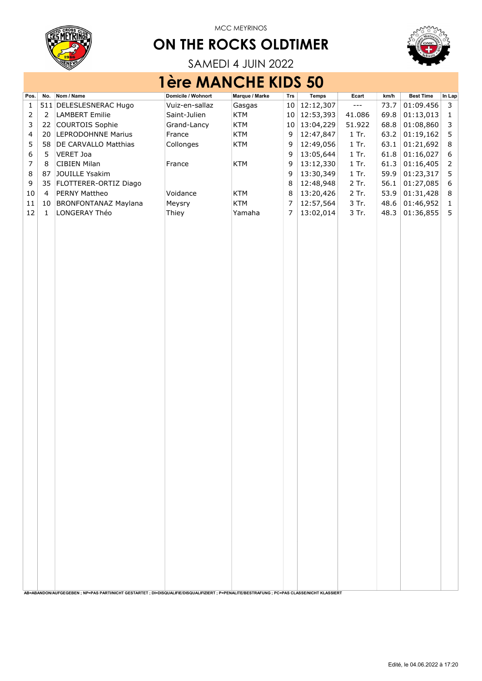

# ON THE ROCKS OLDTIMER



SAMEDI 4 JUIN 2022

## 1ère MANCHE KIDS 50

| Pos.             |                | No. Nom / Name                                                                                                                                | Domicile / Wohnort | Marque / Marke | Trs            | <b>Temps</b> | Ecart                                       | km/h | <b>Best Time</b> | In Lap      |
|------------------|----------------|-----------------------------------------------------------------------------------------------------------------------------------------------|--------------------|----------------|----------------|--------------|---------------------------------------------|------|------------------|-------------|
| 1                |                | 511 DELESLESNERAC Hugo                                                                                                                        | Vuiz-en-sallaz     | Gasgas         | 10             | 12:12,307    | $\scriptstyle \cdots$ $\scriptstyle \cdots$ | 73.7 | 01:09.456        | 3           |
| $\overline{2}$   | $\overline{2}$ | <b>LAMBERT Emilie</b>                                                                                                                         | Saint-Julien       | <b>KTM</b>     | 10             | 12:53,393    | 41.086                                      | 69.8 | 01:13,013        | $\mathbf 1$ |
| 3                | 22             | COURTOIS Sophie                                                                                                                               | Grand-Lancy        | <b>KTM</b>     | 10             | 13:04,229    | 51.922                                      | 68.8 | 01:08,860        | 3           |
| $\overline{4}$   | 20             | <b>LEPRODOHNNE Marius</b>                                                                                                                     | France             | <b>KTM</b>     | 9              | 12:47,847    | 1 Tr.                                       | 63.2 | 01:19,162        | 5           |
| 5                | 58             | <b>DE CARVALLO Matthias</b>                                                                                                                   | Collonges          | KTM            | 9              | 12:49,056    | 1 Tr.                                       | 63.1 | 01:21,692        | $\,8\,$     |
| 6                | 5              | VERET Joa                                                                                                                                     |                    |                | 9              | 13:05,644    | 1 Tr.                                       | 61.8 | 01:16,027        | 6           |
| $\boldsymbol{7}$ | 8              | <b>CIBIEN Milan</b>                                                                                                                           | France             | KTM            | 9              | 13:12,330    | 1 Tr.                                       | 61.3 | 01:16,405        | 2           |
| 8                | 87             | JOUILLE Ysakim                                                                                                                                |                    |                | 9              | 13:30,349    | 1 Tr.                                       | 59.9 | 01:23,317        | 5           |
| 9                | 35             | FLOTTERER-ORTIZ Diago                                                                                                                         |                    |                | 8              | 12:48,948    | 2 Tr.                                       | 56.1 | 01:27,085        | 6           |
| $10\,$           | 4              | PERNY Mattheo                                                                                                                                 | Voidance           | <b>KTM</b>     | 8              | 13:20,426    | 2 Tr.                                       | 53.9 | 01:31,428        | 8           |
| 11               | 10             | <b>BRONFONTANAZ Maylana</b>                                                                                                                   | Meysry             | <b>KTM</b>     | $\overline{7}$ | 12:57,564    | 3 Tr.                                       | 48.6 | 01:46,952        | $1\,$       |
| 12               | 1              | LONGERAY Théo                                                                                                                                 | Thiey              | Yamaha         | $\overline{7}$ | 13:02,014    | 3 Tr.                                       | 48.3 | 01:36,855        | 5           |
|                  |                |                                                                                                                                               |                    |                |                |              |                                             |      |                  |             |
|                  |                |                                                                                                                                               |                    |                |                |              |                                             |      |                  |             |
|                  |                |                                                                                                                                               |                    |                |                |              |                                             |      |                  |             |
|                  |                |                                                                                                                                               |                    |                |                |              |                                             |      |                  |             |
|                  |                |                                                                                                                                               |                    |                |                |              |                                             |      |                  |             |
|                  |                |                                                                                                                                               |                    |                |                |              |                                             |      |                  |             |
|                  |                |                                                                                                                                               |                    |                |                |              |                                             |      |                  |             |
|                  |                |                                                                                                                                               |                    |                |                |              |                                             |      |                  |             |
|                  |                |                                                                                                                                               |                    |                |                |              |                                             |      |                  |             |
|                  |                |                                                                                                                                               |                    |                |                |              |                                             |      |                  |             |
|                  |                |                                                                                                                                               |                    |                |                |              |                                             |      |                  |             |
|                  |                |                                                                                                                                               |                    |                |                |              |                                             |      |                  |             |
|                  |                |                                                                                                                                               |                    |                |                |              |                                             |      |                  |             |
|                  |                |                                                                                                                                               |                    |                |                |              |                                             |      |                  |             |
|                  |                |                                                                                                                                               |                    |                |                |              |                                             |      |                  |             |
|                  |                |                                                                                                                                               |                    |                |                |              |                                             |      |                  |             |
|                  |                |                                                                                                                                               |                    |                |                |              |                                             |      |                  |             |
|                  |                |                                                                                                                                               |                    |                |                |              |                                             |      |                  |             |
|                  |                |                                                                                                                                               |                    |                |                |              |                                             |      |                  |             |
|                  |                |                                                                                                                                               |                    |                |                |              |                                             |      |                  |             |
|                  |                |                                                                                                                                               |                    |                |                |              |                                             |      |                  |             |
|                  |                |                                                                                                                                               |                    |                |                |              |                                             |      |                  |             |
|                  |                |                                                                                                                                               |                    |                |                |              |                                             |      |                  |             |
|                  |                |                                                                                                                                               |                    |                |                |              |                                             |      |                  |             |
|                  |                |                                                                                                                                               |                    |                |                |              |                                             |      |                  |             |
|                  |                |                                                                                                                                               |                    |                |                |              |                                             |      |                  |             |
|                  |                |                                                                                                                                               |                    |                |                |              |                                             |      |                  |             |
|                  |                |                                                                                                                                               |                    |                |                |              |                                             |      |                  |             |
|                  |                |                                                                                                                                               |                    |                |                |              |                                             |      |                  |             |
|                  |                |                                                                                                                                               |                    |                |                |              |                                             |      |                  |             |
|                  |                |                                                                                                                                               |                    |                |                |              |                                             |      |                  |             |
|                  |                |                                                                                                                                               |                    |                |                |              |                                             |      |                  |             |
|                  |                |                                                                                                                                               |                    |                |                |              |                                             |      |                  |             |
|                  |                |                                                                                                                                               |                    |                |                |              |                                             |      |                  |             |
|                  |                |                                                                                                                                               |                    |                |                |              |                                             |      |                  |             |
|                  |                |                                                                                                                                               |                    |                |                |              |                                             |      |                  |             |
|                  |                |                                                                                                                                               |                    |                |                |              |                                             |      |                  |             |
|                  |                |                                                                                                                                               |                    |                |                |              |                                             |      |                  |             |
|                  |                |                                                                                                                                               |                    |                |                |              |                                             |      |                  |             |
|                  |                |                                                                                                                                               |                    |                |                |              |                                             |      |                  |             |
|                  |                |                                                                                                                                               |                    |                |                |              |                                             |      |                  |             |
|                  |                | AB=ABANDON/AUFGEGEBEN ; NP=PAS PARTI/NICHT GESTARTET ; DI=DISQUALIFIE/DISQUALIFIZIERT ; P=PENALITE/BESTRAFUNG ; PC=PAS CLASSE/NICHT KLASSIERT |                    |                |                |              |                                             |      |                  |             |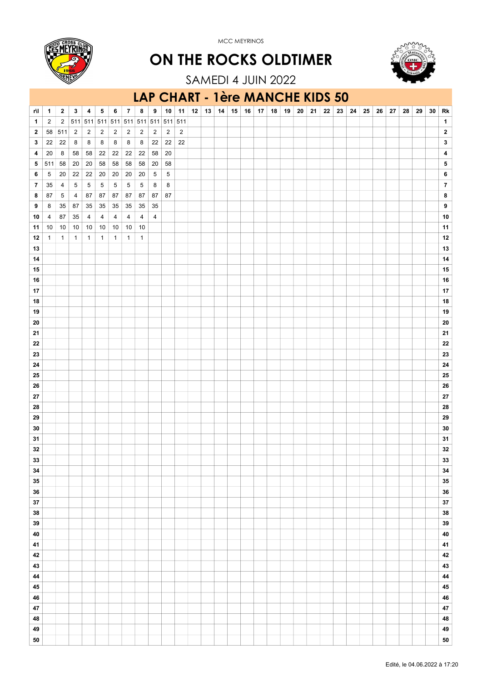

ON THE ROCKS OLDTIMER



SAMEDI 4 JUIN 2022

#### r\l 1 2 3 4 5 6 7 8 9 10 11 12 13 14 15 16 17 18 19 20 21 22 23 24 25 26 27 28 29 30 Rk 1 2 2 511 511 511 511 511 511 511 511 511 1 2 58 511 2 2 2 2 2 2 2 2 2 2 3 22 22 8 8 8 8 8 8 22 22 22 3 4 20 8 58 58 22 22 22 22 58 20 4 5 511 58 20 20 58 58 58 58 20 58 5 6 5 20 22 22 20 20 20 20 5 5 6 7 35 4 5 5 5 5 5 5 8 8 7 8 87 5 4 87 87 87 87 87 87 87 8 9 8 35 87 35 35 35 35 35 35 9 10  $4$  87 35 4 4 4 4 4 4 4 0  $\mid$  10 11 10 10 10 10 10 10 10 10 11 12 1 1 1 1 1 1 1 1 12 13 13 14 14 15 15 16 16 17 17 18 18 19 19 20 20 21 21 22 22 23 23 24 24 25 25 26 26 27 27 28 28 29 29 30 30 31 31  $32$  32  $32$ 33 33 34 34 35 35 36 36 37 37 38 38 39 39 40 40 41 41 42 42 43 43 44 44 45 45 46 46 47 47 48 48 49 49 50 50 LAP CHART - 1ère MANCHE KIDS 50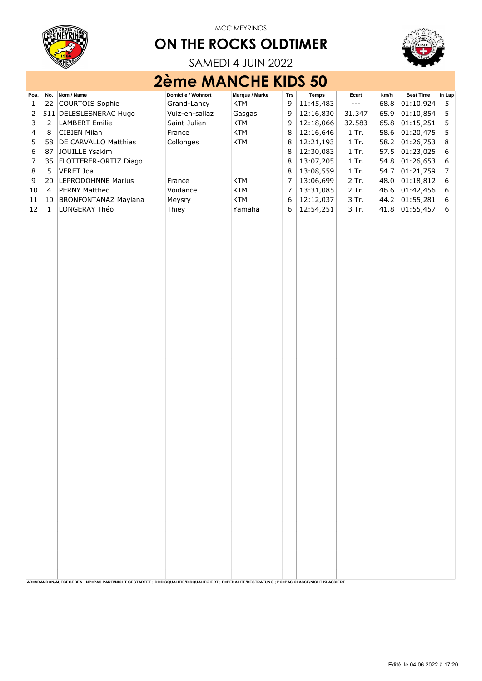

## ON THE ROCKS OLDTIMER



SAMEDI 4 JUIN 2022

# 2ème MANCHE KIDS 50

| COURTOIS Sophie<br>22<br>9<br>11:45,483<br>01:10.924<br>$\mathbf{1}$<br>Grand-Lancy<br><b>KTM</b><br>68.8<br>$\cdots$<br>5<br>12:16,830<br>2<br>511 DELESLESNERAC Hugo<br>Vuiz-en-sallaz<br>9<br>31.347<br>65.9<br>01:10,854<br>$\sqrt{5}$<br>Gasgas<br>12:18,066<br>5<br>3<br>$\overline{2}$<br><b>LAMBERT Emilie</b><br>Saint-Julien<br><b>KTM</b><br>9<br>32.583<br>65.8<br>01:15,251<br>12:16,646<br>01:20,475<br>$\mathsf S$<br><b>KTM</b><br>$\,8\,$<br>1 Tr.<br>58.6<br>4<br>8<br><b>CIBIEN Milan</b><br>France<br>5<br>12:21,193<br>01:26,753<br>DE CARVALLO Matthias<br>Collonges<br>KTM<br>$\,8\,$<br>1 Tr.<br>58.2<br>8<br>58<br>6<br>12:30,083<br>01:23,025<br>$\boldsymbol{6}$<br>JOUILLE Ysakim<br>$\,8\,$<br>$1$ Tr.<br>57.5<br>87<br>$\boldsymbol{7}$<br>13:07,205<br>01:26,653<br>35<br>FLOTTERER-ORTIZ Diago<br>$\,8\,$<br>$1$ Tr.<br>54.8<br>$\boldsymbol{6}$<br>8<br>13:08,559<br>01:21,759<br>$\boldsymbol{7}$<br>5<br>VERET Joa<br>$\,8\,$<br>1 Tr.<br>54.7<br>$\boldsymbol{7}$<br>LEPRODOHNNE Marius<br>13:06,699<br>2 Tr.<br>9<br><b>KTM</b><br>48.0<br>01:18,812<br>$\boldsymbol{6}$<br>20<br>France<br>$10\,$<br>PERNY Mattheo<br>Voidance<br><b>KTM</b><br>7<br>13:31,085<br>2 Tr.<br>46.6<br>01:42,456<br>$\boldsymbol{6}$<br>4<br>12:12,037<br><b>BRONFONTANAZ Maylana</b><br><b>KTM</b><br>6<br>3 Tr.<br>44.2<br>01:55,281<br>$\boldsymbol{6}$<br>11<br>10<br>Meysry<br>12:54,251<br>01:55,457<br>12<br>LONGERAY Théo<br>Yamaha<br>6<br>3 Tr.<br>$\mathbf{1}$<br>Thiey<br>41.8<br>6 | Pos. | No. | Nom / Name | Domicile / Wohnort | Marque / Marke | Trs | Temps | Ecart | km/h | <b>Best Time</b> | In Lap |
|-------------------------------------------------------------------------------------------------------------------------------------------------------------------------------------------------------------------------------------------------------------------------------------------------------------------------------------------------------------------------------------------------------------------------------------------------------------------------------------------------------------------------------------------------------------------------------------------------------------------------------------------------------------------------------------------------------------------------------------------------------------------------------------------------------------------------------------------------------------------------------------------------------------------------------------------------------------------------------------------------------------------------------------------------------------------------------------------------------------------------------------------------------------------------------------------------------------------------------------------------------------------------------------------------------------------------------------------------------------------------------------------------------------------------------------------------------------------------------------------------------------------|------|-----|------------|--------------------|----------------|-----|-------|-------|------|------------------|--------|
|                                                                                                                                                                                                                                                                                                                                                                                                                                                                                                                                                                                                                                                                                                                                                                                                                                                                                                                                                                                                                                                                                                                                                                                                                                                                                                                                                                                                                                                                                                                   |      |     |            |                    |                |     |       |       |      |                  |        |
|                                                                                                                                                                                                                                                                                                                                                                                                                                                                                                                                                                                                                                                                                                                                                                                                                                                                                                                                                                                                                                                                                                                                                                                                                                                                                                                                                                                                                                                                                                                   |      |     |            |                    |                |     |       |       |      |                  |        |
|                                                                                                                                                                                                                                                                                                                                                                                                                                                                                                                                                                                                                                                                                                                                                                                                                                                                                                                                                                                                                                                                                                                                                                                                                                                                                                                                                                                                                                                                                                                   |      |     |            |                    |                |     |       |       |      |                  |        |
|                                                                                                                                                                                                                                                                                                                                                                                                                                                                                                                                                                                                                                                                                                                                                                                                                                                                                                                                                                                                                                                                                                                                                                                                                                                                                                                                                                                                                                                                                                                   |      |     |            |                    |                |     |       |       |      |                  |        |
|                                                                                                                                                                                                                                                                                                                                                                                                                                                                                                                                                                                                                                                                                                                                                                                                                                                                                                                                                                                                                                                                                                                                                                                                                                                                                                                                                                                                                                                                                                                   |      |     |            |                    |                |     |       |       |      |                  |        |
|                                                                                                                                                                                                                                                                                                                                                                                                                                                                                                                                                                                                                                                                                                                                                                                                                                                                                                                                                                                                                                                                                                                                                                                                                                                                                                                                                                                                                                                                                                                   |      |     |            |                    |                |     |       |       |      |                  |        |
|                                                                                                                                                                                                                                                                                                                                                                                                                                                                                                                                                                                                                                                                                                                                                                                                                                                                                                                                                                                                                                                                                                                                                                                                                                                                                                                                                                                                                                                                                                                   |      |     |            |                    |                |     |       |       |      |                  |        |
|                                                                                                                                                                                                                                                                                                                                                                                                                                                                                                                                                                                                                                                                                                                                                                                                                                                                                                                                                                                                                                                                                                                                                                                                                                                                                                                                                                                                                                                                                                                   |      |     |            |                    |                |     |       |       |      |                  |        |
|                                                                                                                                                                                                                                                                                                                                                                                                                                                                                                                                                                                                                                                                                                                                                                                                                                                                                                                                                                                                                                                                                                                                                                                                                                                                                                                                                                                                                                                                                                                   |      |     |            |                    |                |     |       |       |      |                  |        |
|                                                                                                                                                                                                                                                                                                                                                                                                                                                                                                                                                                                                                                                                                                                                                                                                                                                                                                                                                                                                                                                                                                                                                                                                                                                                                                                                                                                                                                                                                                                   |      |     |            |                    |                |     |       |       |      |                  |        |
|                                                                                                                                                                                                                                                                                                                                                                                                                                                                                                                                                                                                                                                                                                                                                                                                                                                                                                                                                                                                                                                                                                                                                                                                                                                                                                                                                                                                                                                                                                                   |      |     |            |                    |                |     |       |       |      |                  |        |
|                                                                                                                                                                                                                                                                                                                                                                                                                                                                                                                                                                                                                                                                                                                                                                                                                                                                                                                                                                                                                                                                                                                                                                                                                                                                                                                                                                                                                                                                                                                   |      |     |            |                    |                |     |       |       |      |                  |        |
|                                                                                                                                                                                                                                                                                                                                                                                                                                                                                                                                                                                                                                                                                                                                                                                                                                                                                                                                                                                                                                                                                                                                                                                                                                                                                                                                                                                                                                                                                                                   |      |     |            |                    |                |     |       |       |      |                  |        |
|                                                                                                                                                                                                                                                                                                                                                                                                                                                                                                                                                                                                                                                                                                                                                                                                                                                                                                                                                                                                                                                                                                                                                                                                                                                                                                                                                                                                                                                                                                                   |      |     |            |                    |                |     |       |       |      |                  |        |
|                                                                                                                                                                                                                                                                                                                                                                                                                                                                                                                                                                                                                                                                                                                                                                                                                                                                                                                                                                                                                                                                                                                                                                                                                                                                                                                                                                                                                                                                                                                   |      |     |            |                    |                |     |       |       |      |                  |        |
|                                                                                                                                                                                                                                                                                                                                                                                                                                                                                                                                                                                                                                                                                                                                                                                                                                                                                                                                                                                                                                                                                                                                                                                                                                                                                                                                                                                                                                                                                                                   |      |     |            |                    |                |     |       |       |      |                  |        |
|                                                                                                                                                                                                                                                                                                                                                                                                                                                                                                                                                                                                                                                                                                                                                                                                                                                                                                                                                                                                                                                                                                                                                                                                                                                                                                                                                                                                                                                                                                                   |      |     |            |                    |                |     |       |       |      |                  |        |
|                                                                                                                                                                                                                                                                                                                                                                                                                                                                                                                                                                                                                                                                                                                                                                                                                                                                                                                                                                                                                                                                                                                                                                                                                                                                                                                                                                                                                                                                                                                   |      |     |            |                    |                |     |       |       |      |                  |        |
|                                                                                                                                                                                                                                                                                                                                                                                                                                                                                                                                                                                                                                                                                                                                                                                                                                                                                                                                                                                                                                                                                                                                                                                                                                                                                                                                                                                                                                                                                                                   |      |     |            |                    |                |     |       |       |      |                  |        |
|                                                                                                                                                                                                                                                                                                                                                                                                                                                                                                                                                                                                                                                                                                                                                                                                                                                                                                                                                                                                                                                                                                                                                                                                                                                                                                                                                                                                                                                                                                                   |      |     |            |                    |                |     |       |       |      |                  |        |
|                                                                                                                                                                                                                                                                                                                                                                                                                                                                                                                                                                                                                                                                                                                                                                                                                                                                                                                                                                                                                                                                                                                                                                                                                                                                                                                                                                                                                                                                                                                   |      |     |            |                    |                |     |       |       |      |                  |        |
|                                                                                                                                                                                                                                                                                                                                                                                                                                                                                                                                                                                                                                                                                                                                                                                                                                                                                                                                                                                                                                                                                                                                                                                                                                                                                                                                                                                                                                                                                                                   |      |     |            |                    |                |     |       |       |      |                  |        |
|                                                                                                                                                                                                                                                                                                                                                                                                                                                                                                                                                                                                                                                                                                                                                                                                                                                                                                                                                                                                                                                                                                                                                                                                                                                                                                                                                                                                                                                                                                                   |      |     |            |                    |                |     |       |       |      |                  |        |
|                                                                                                                                                                                                                                                                                                                                                                                                                                                                                                                                                                                                                                                                                                                                                                                                                                                                                                                                                                                                                                                                                                                                                                                                                                                                                                                                                                                                                                                                                                                   |      |     |            |                    |                |     |       |       |      |                  |        |
|                                                                                                                                                                                                                                                                                                                                                                                                                                                                                                                                                                                                                                                                                                                                                                                                                                                                                                                                                                                                                                                                                                                                                                                                                                                                                                                                                                                                                                                                                                                   |      |     |            |                    |                |     |       |       |      |                  |        |
|                                                                                                                                                                                                                                                                                                                                                                                                                                                                                                                                                                                                                                                                                                                                                                                                                                                                                                                                                                                                                                                                                                                                                                                                                                                                                                                                                                                                                                                                                                                   |      |     |            |                    |                |     |       |       |      |                  |        |
|                                                                                                                                                                                                                                                                                                                                                                                                                                                                                                                                                                                                                                                                                                                                                                                                                                                                                                                                                                                                                                                                                                                                                                                                                                                                                                                                                                                                                                                                                                                   |      |     |            |                    |                |     |       |       |      |                  |        |
|                                                                                                                                                                                                                                                                                                                                                                                                                                                                                                                                                                                                                                                                                                                                                                                                                                                                                                                                                                                                                                                                                                                                                                                                                                                                                                                                                                                                                                                                                                                   |      |     |            |                    |                |     |       |       |      |                  |        |
|                                                                                                                                                                                                                                                                                                                                                                                                                                                                                                                                                                                                                                                                                                                                                                                                                                                                                                                                                                                                                                                                                                                                                                                                                                                                                                                                                                                                                                                                                                                   |      |     |            |                    |                |     |       |       |      |                  |        |
|                                                                                                                                                                                                                                                                                                                                                                                                                                                                                                                                                                                                                                                                                                                                                                                                                                                                                                                                                                                                                                                                                                                                                                                                                                                                                                                                                                                                                                                                                                                   |      |     |            |                    |                |     |       |       |      |                  |        |
|                                                                                                                                                                                                                                                                                                                                                                                                                                                                                                                                                                                                                                                                                                                                                                                                                                                                                                                                                                                                                                                                                                                                                                                                                                                                                                                                                                                                                                                                                                                   |      |     |            |                    |                |     |       |       |      |                  |        |
|                                                                                                                                                                                                                                                                                                                                                                                                                                                                                                                                                                                                                                                                                                                                                                                                                                                                                                                                                                                                                                                                                                                                                                                                                                                                                                                                                                                                                                                                                                                   |      |     |            |                    |                |     |       |       |      |                  |        |
|                                                                                                                                                                                                                                                                                                                                                                                                                                                                                                                                                                                                                                                                                                                                                                                                                                                                                                                                                                                                                                                                                                                                                                                                                                                                                                                                                                                                                                                                                                                   |      |     |            |                    |                |     |       |       |      |                  |        |
|                                                                                                                                                                                                                                                                                                                                                                                                                                                                                                                                                                                                                                                                                                                                                                                                                                                                                                                                                                                                                                                                                                                                                                                                                                                                                                                                                                                                                                                                                                                   |      |     |            |                    |                |     |       |       |      |                  |        |
|                                                                                                                                                                                                                                                                                                                                                                                                                                                                                                                                                                                                                                                                                                                                                                                                                                                                                                                                                                                                                                                                                                                                                                                                                                                                                                                                                                                                                                                                                                                   |      |     |            |                    |                |     |       |       |      |                  |        |
|                                                                                                                                                                                                                                                                                                                                                                                                                                                                                                                                                                                                                                                                                                                                                                                                                                                                                                                                                                                                                                                                                                                                                                                                                                                                                                                                                                                                                                                                                                                   |      |     |            |                    |                |     |       |       |      |                  |        |
|                                                                                                                                                                                                                                                                                                                                                                                                                                                                                                                                                                                                                                                                                                                                                                                                                                                                                                                                                                                                                                                                                                                                                                                                                                                                                                                                                                                                                                                                                                                   |      |     |            |                    |                |     |       |       |      |                  |        |
|                                                                                                                                                                                                                                                                                                                                                                                                                                                                                                                                                                                                                                                                                                                                                                                                                                                                                                                                                                                                                                                                                                                                                                                                                                                                                                                                                                                                                                                                                                                   |      |     |            |                    |                |     |       |       |      |                  |        |
|                                                                                                                                                                                                                                                                                                                                                                                                                                                                                                                                                                                                                                                                                                                                                                                                                                                                                                                                                                                                                                                                                                                                                                                                                                                                                                                                                                                                                                                                                                                   |      |     |            |                    |                |     |       |       |      |                  |        |
|                                                                                                                                                                                                                                                                                                                                                                                                                                                                                                                                                                                                                                                                                                                                                                                                                                                                                                                                                                                                                                                                                                                                                                                                                                                                                                                                                                                                                                                                                                                   |      |     |            |                    |                |     |       |       |      |                  |        |
|                                                                                                                                                                                                                                                                                                                                                                                                                                                                                                                                                                                                                                                                                                                                                                                                                                                                                                                                                                                                                                                                                                                                                                                                                                                                                                                                                                                                                                                                                                                   |      |     |            |                    |                |     |       |       |      |                  |        |
|                                                                                                                                                                                                                                                                                                                                                                                                                                                                                                                                                                                                                                                                                                                                                                                                                                                                                                                                                                                                                                                                                                                                                                                                                                                                                                                                                                                                                                                                                                                   |      |     |            |                    |                |     |       |       |      |                  |        |
|                                                                                                                                                                                                                                                                                                                                                                                                                                                                                                                                                                                                                                                                                                                                                                                                                                                                                                                                                                                                                                                                                                                                                                                                                                                                                                                                                                                                                                                                                                                   |      |     |            |                    |                |     |       |       |      |                  |        |
|                                                                                                                                                                                                                                                                                                                                                                                                                                                                                                                                                                                                                                                                                                                                                                                                                                                                                                                                                                                                                                                                                                                                                                                                                                                                                                                                                                                                                                                                                                                   |      |     |            |                    |                |     |       |       |      |                  |        |
|                                                                                                                                                                                                                                                                                                                                                                                                                                                                                                                                                                                                                                                                                                                                                                                                                                                                                                                                                                                                                                                                                                                                                                                                                                                                                                                                                                                                                                                                                                                   |      |     |            |                    |                |     |       |       |      |                  |        |
|                                                                                                                                                                                                                                                                                                                                                                                                                                                                                                                                                                                                                                                                                                                                                                                                                                                                                                                                                                                                                                                                                                                                                                                                                                                                                                                                                                                                                                                                                                                   |      |     |            |                    |                |     |       |       |      |                  |        |
|                                                                                                                                                                                                                                                                                                                                                                                                                                                                                                                                                                                                                                                                                                                                                                                                                                                                                                                                                                                                                                                                                                                                                                                                                                                                                                                                                                                                                                                                                                                   |      |     |            |                    |                |     |       |       |      |                  |        |
|                                                                                                                                                                                                                                                                                                                                                                                                                                                                                                                                                                                                                                                                                                                                                                                                                                                                                                                                                                                                                                                                                                                                                                                                                                                                                                                                                                                                                                                                                                                   |      |     |            |                    |                |     |       |       |      |                  |        |
|                                                                                                                                                                                                                                                                                                                                                                                                                                                                                                                                                                                                                                                                                                                                                                                                                                                                                                                                                                                                                                                                                                                                                                                                                                                                                                                                                                                                                                                                                                                   |      |     |            |                    |                |     |       |       |      |                  |        |
|                                                                                                                                                                                                                                                                                                                                                                                                                                                                                                                                                                                                                                                                                                                                                                                                                                                                                                                                                                                                                                                                                                                                                                                                                                                                                                                                                                                                                                                                                                                   |      |     |            |                    |                |     |       |       |      |                  |        |
|                                                                                                                                                                                                                                                                                                                                                                                                                                                                                                                                                                                                                                                                                                                                                                                                                                                                                                                                                                                                                                                                                                                                                                                                                                                                                                                                                                                                                                                                                                                   |      |     |            |                    |                |     |       |       |      |                  |        |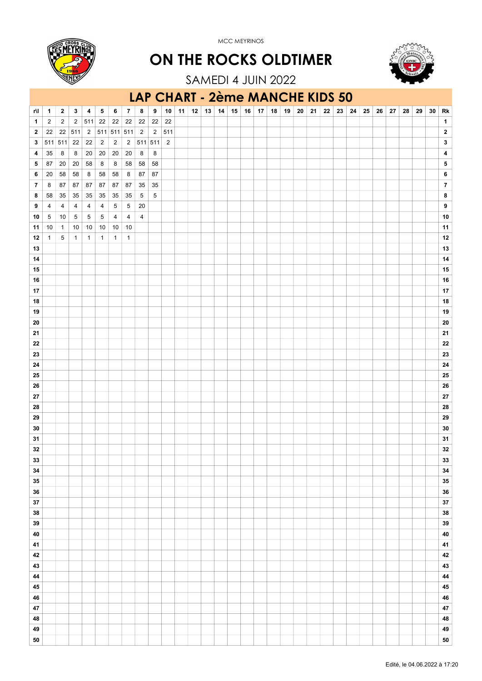

ON THE ROCKS OLDTIMER



SAMEDI 4 JUIN 2022

### r\l 1 2 3 4 5 6 7 8 9 10 11 12 13 14 15 16 17 18 19 20 21 22 23 24 25 26 27 28 29 30 Rk 1 2 2 2 511 22 22 22 22 22 22 1 **2** 22 22 511 2 511 511 511 2 2 511 3 511 511 22 22 2 2 2 511 511 2 3 4 35 8 8 20 20 20 20 8 8 4 5 6 7 8 9 20 20 20 21 8 4 5 87 20 20 58 8 8 58 58 58 5 6 20 58 58 8 58 58 8 87 87 6 7 8 87 87 87 87 87 87 35 35 7 8 58 35 35 35 35 35 35 5 5 8 9 4 4 4 4 4 5 5 20 9 **10** 5 10 5 5 5 4 4 4 10 10 11 10 1 10 10 10 10 10 11 12 1 5 1 1 1 1 1 12 13 13 14 14 15 15 16 16 17 17 18 18 19 19 20 20 21 21 22 22 23 23 24 24 25 25 26 26 27 27 28 28 29 29 30 30 31 31  $32$  32  $32$ 33 33 34 34 35 35 36 36 37 37 38 38 39 39 40 40 41 41 42 42 43 43 44 44 45 45 46 46 47 47 LAP CHART - 2ème MANCHE KIDS 50

48 48 49 49 50 50